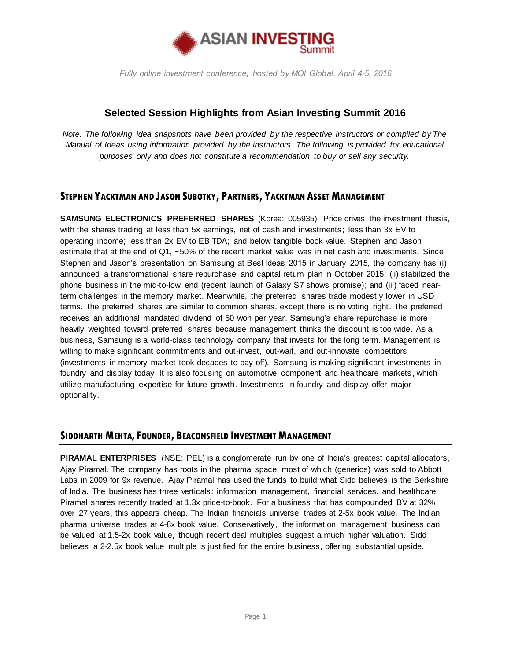

### **Selected Session Highlights from Asian Investing Summit 2016**

*Note: The following idea snapshots have been provided by the respective instructors or compiled by The Manual of Ideas using information provided by the instructors. The following is provided for educational purposes only and does not constitute a recommendation to buy or sell any security.*

### **STEPHEN YACKTMAN AND JASON SUBOTKY, PARTNERS, YACKTMAN ASSET MANAGEMENT**

**SAMSUNG ELECTRONICS PREFERRED SHARES** (Korea: 005935): Price drives the investment thesis, with the shares trading at less than 5x earnings, net of cash and investments; less than 3x EV to operating income; less than 2x EV to EBITDA; and below tangible book value. Stephen and Jason estimate that at the end of Q1, ~50% of the recent market value was in net cash and investments. Since Stephen and Jason's presentation on Samsung at Best Ideas 2015 in January 2015, the company has (i) announced a transformational share repurchase and capital return plan in October 2015; (ii) stabilized the phone business in the mid-to-low end (recent launch of Galaxy S7 shows promise); and (iii) faced nearterm challenges in the memory market. Meanwhile, the preferred shares trade modestly lower in USD terms. The preferred shares are similar to common shares, except there is no voting right. The preferred receives an additional mandated dividend of 50 won per year. Samsung's share repurchase is more heavily weighted toward preferred shares because management thinks the discount is too wide. As a business, Samsung is a world-class technology company that invests for the long term. Management is willing to make significant commitments and out-invest, out-wait, and out-innovate competitors (investments in memory market took decades to pay off). Samsung is making significant investments in foundry and display today. It is also focusing on automotive component and healthcare markets, which utilize manufacturing expertise for future growth. Investments in foundry and display offer major optionality.

#### **SIDDHARTH MEHTA,FOUNDER, BEACONSFIELD INVESTMENT MANAGEMENT**

**PIRAMAL ENTERPRISES** (NSE: PEL) is a conglomerate run by one of India's greatest capital allocators, Ajay Piramal. The company has roots in the pharma space, most of which (generics) was sold to Abbott Labs in 2009 for 9x revenue. Ajay Piramal has used the funds to build what Sidd believes is the Berkshire of India. The business has three verticals: information management, financial services, and healthcare. Piramal shares recently traded at 1.3x price-to-book. For a business that has compounded BV at 32% over 27 years, this appears cheap. The Indian financials universe trades at 2-5x book value. The Indian pharma universe trades at 4-8x book value. Conservatively, the information management business can be valued at 1.5-2x book value, though recent deal multiples suggest a much higher valuation. Sidd believes a 2-2.5x book value multiple is justified for the entire business, offering substantial upside.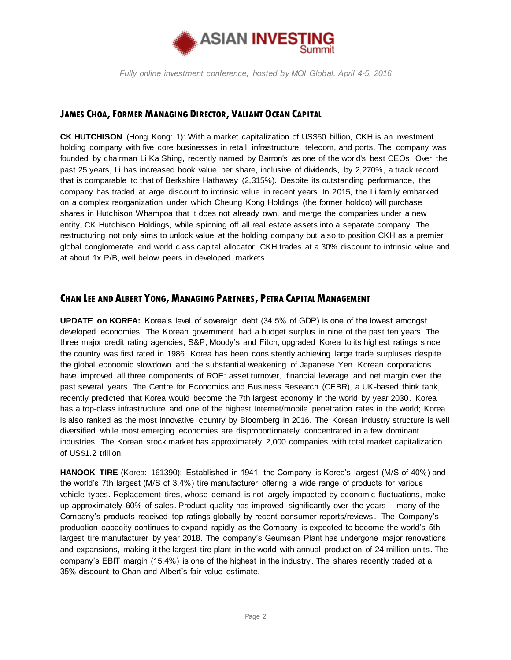

# **JAMES CHOA,FORMER MANAGING DIRECTOR, VALIANT OCEAN CAPITAL**

**CK HUTCHISON** (Hong Kong: 1): With a market capitalization of US\$50 billion, CKH is an investment holding company with five core businesses in retail, infrastructure, telecom, and ports. The company was founded by chairman Li Ka Shing, recently named by Barron's as one of the world's best CEOs. Over the past 25 years, Li has increased book value per share, inclusive of dividends, by 2,270%, a track record that is comparable to that of Berkshire Hathaway (2,315%). Despite its outstanding performance, the company has traded at large discount to intrinsic value in recent years. In 2015, the Li family embarked on a complex reorganization under which Cheung Kong Holdings (the former holdco) will purchase shares in Hutchison Whampoa that it does not already own, and merge the companies under a new entity, CK Hutchison Holdings, while spinning off all real estate assets into a separate company. The restructuring not only aims to unlock value at the holding company but also to position CKH as a premier global conglomerate and world class capital allocator. CKH trades at a 30% discount to intrinsic value and at about 1x P/B, well below peers in developed markets.

## **CHAN LEE AND ALBERT YONG, MANAGING PARTNERS, PETRA CAPITALMANAGEMENT**

**UPDATE on KOREA:** Korea's level of sovereign debt (34.5% of GDP) is one of the lowest amongst developed economies. The Korean government had a budget surplus in nine of the past ten years. The three major credit rating agencies, S&P, Moody's and Fitch, upgraded Korea to its highest ratings since the country was first rated in 1986. Korea has been consistently achieving large trade surpluses despite the global economic slowdown and the substantial weakening of Japanese Yen. Korean corporations have improved all three components of ROE: asset turnover, financial leverage and net margin over the past several years. The Centre for Economics and Business Research (CEBR), a UK-based think tank, recently predicted that Korea would become the 7th largest economy in the world by year 2030. Korea has a top-class infrastructure and one of the highest Internet/mobile penetration rates in the world; Korea is also ranked as the most innovative country by Bloomberg in 2016. The Korean industry structure is well diversified while most emerging economies are disproportionately concentrated in a few dominant industries. The Korean stock market has approximately 2,000 companies with total market capitalization of US\$1.2 trillion.

**HANOOK TIRE** (Korea: 161390): Established in 1941, the Company is Korea's largest (M/S of 40%) and the world's 7th largest (M/S of 3.4%) tire manufacturer offering a wide range of products for various vehicle types. Replacement tires, whose demand is not largely impacted by economic fluctuations, make up approximately 60% of sales. Product quality has improved significantly over the years – many of the Company's products received top ratings globally by recent consumer reports/reviews . The Company's production capacity continues to expand rapidly as the Company is expected to become the world's 5th largest tire manufacturer by year 2018. The company's Geumsan Plant has undergone major renovations and expansions, making it the largest tire plant in the world with annual production of 24 million units. The company's EBIT margin (15.4%) is one of the highest in the industry. The shares recently traded at a 35% discount to Chan and Albert's fair value estimate.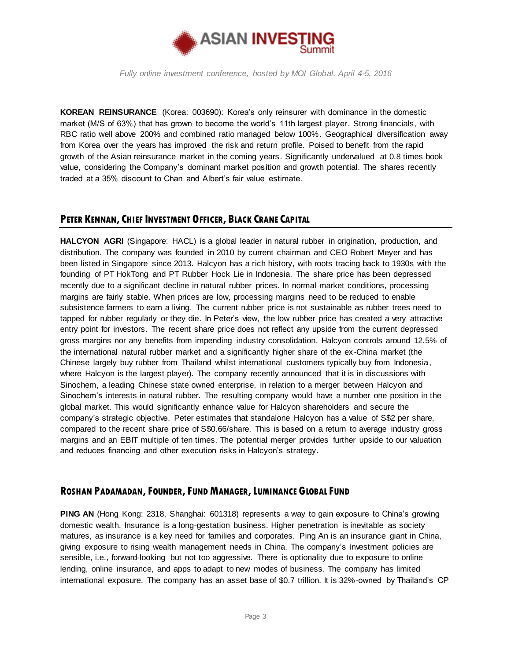

**KOREAN REINSURANCE** (Korea: 003690): Korea's only reinsurer with dominance in the domestic market (M/S of 63%) that has grown to become the world's 11th largest player. Strong financials, with RBC ratio well above 200% and combined ratio managed below 100%. Geographical diversification away from Korea over the years has improved the risk and return profile. Poised to benefit from the rapid growth of the Asian reinsurance market in the coming years. Significantly undervalued at 0.8 times book value, considering the Company's dominant market position and growth potential. The shares recently traded at a 35% discount to Chan and Albert's fair value estimate.

## **PETER KENNAN, CHIEF INVESTMENT OFFICER, BLACK CRANE CAPITAL**

**HALCYON AGRI** (Singapore: HACL) is a global leader in natural rubber in origination, production, and distribution. The company was founded in 2010 by current chairman and CEO Robert Meyer and has been listed in Singapore since 2013. Halcyon has a rich history, with roots tracing back to 1930s with the founding of PT HokTong and PT Rubber Hock Lie in Indonesia. The share price has been depressed recently due to a significant decline in natural rubber prices. In normal market conditions, processing margins are fairly stable. When prices are low, processing margins need to be reduced to enable subsistence farmers to earn a living. The current rubber price is not sustainable as rubber trees need to tapped for rubber regularly or they die. In Peter's view, the low rubber price has created a very attractive entry point for investors. The recent share price does not reflect any upside from the current depressed gross margins nor any benefits from impending industry consolidation. Halcyon controls around 12.5% of the international natural rubber market and a significantly higher share of the ex -China market (the Chinese largely buy rubber from Thailand whilst international customers typically buy from Indonesia, where Halcyon is the largest player). The company recently announced that it is in discussions with Sinochem, a leading Chinese state owned enterprise, in relation to a merger between Halcyon and Sinochem's interests in natural rubber. The resulting company would have a number one position in the global market. This would significantly enhance value for Halcyon shareholders and secure the company's strategic objective. Peter estimates that standalone Halcyon has a value of S\$2 per share, compared to the recent share price of S\$0.66/share. This is based on a return to average industry gross margins and an EBIT multiple of ten times. The potential merger provides further upside to our valuation and reduces financing and other execution risks in Halcyon's strategy.

## **ROSHAN PADAMADAN,FOUNDER,FUND MANAGER,LUMINANCE GLOBAL FUND**

**PING AN** (Hong Kong: 2318, Shanghai: 601318) represents a way to gain exposure to China's growing domestic wealth. Insurance is a long-gestation business. Higher penetration is inevitable as society matures, as insurance is a key need for families and corporates. Ping An is an insurance giant in China, giving exposure to rising wealth management needs in China. The company's investment policies are sensible, i.e., forward-looking but not too aggressive. There is optionality due to exposure to online lending, online insurance, and apps to adapt to new modes of business. The company has limited international exposure. The company has an asset base of \$0.7 trillion. It is 32%-owned by Thailand's CP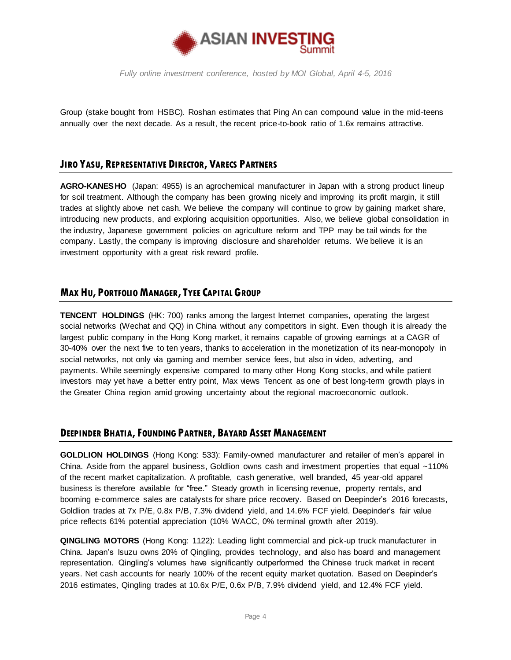

Group (stake bought from HSBC). Roshan estimates that Ping An can compound value in the mid-teens annually over the next decade. As a result, the recent price-to-book ratio of 1.6x remains attractive.

## **JIRO YASU, REPRESENTATIVE DIRECTOR, VARECS PARTNERS**

**AGRO-KANESHO** (Japan: 4955) is an agrochemical manufacturer in Japan with a strong product lineup for soil treatment. Although the company has been growing nicely and improving its profit margin, it still trades at slightly above net cash. We believe the company will continue to grow by gaining market share, introducing new products, and exploring acquisition opportunities. Also, we believe global consolidation in the industry, Japanese government policies on agriculture reform and TPP may be tail winds for the company. Lastly, the company is improving disclosure and shareholder returns. We believe it is an investment opportunity with a great risk reward profile.

## **MAX HU, PORTFOLIO MANAGER,TYEE CAPITAL GROUP**

**TENCENT HOLDINGS** (HK: 700) ranks among the largest Internet companies, operating the largest social networks (Wechat and QQ) in China without any competitors in sight. Even though it is already the largest public company in the Hong Kong market, it remains capable of growing earnings at a CAGR of 30-40% over the next five to ten years, thanks to acceleration in the monetization of its near-monopoly in social networks, not only via gaming and member service fees, but also in video, adverting, and payments. While seemingly expensive compared to many other Hong Kong stocks, and while patient investors may yet have a better entry point, Max views Tencent as one of best long-term growth plays in the Greater China region amid growing uncertainty about the regional macroeconomic outlook.

#### **DEEPINDER BHATIA,FOUNDING PARTNER, BAYARD ASSET MANAGEMENT**

**GOLDLION HOLDINGS** (Hong Kong: 533): Family-owned manufacturer and retailer of men's apparel in China. Aside from the apparel business, Goldlion owns cash and investment properties that equal ~110% of the recent market capitalization. A profitable, cash generative, well branded, 45 year-old apparel business is therefore available for "free." Steady growth in licensing revenue, property rentals, and booming e-commerce sales are catalysts for share price recovery. Based on Deepinder's 2016 forecasts, Goldlion trades at 7x P/E, 0.8x P/B, 7.3% dividend yield, and 14.6% FCF yield. Deepinder's fair value price reflects 61% potential appreciation (10% WACC, 0% terminal growth after 2019).

**QINGLING MOTORS** (Hong Kong: 1122): Leading light commercial and pick-up truck manufacturer in China. Japan's Isuzu owns 20% of Qingling, provides technology, and also has board and management representation. Qingling's volumes have significantly outperformed the Chinese truck market in recent years. Net cash accounts for nearly 100% of the recent equity market quotation. Based on Deepinder's 2016 estimates, Qingling trades at 10.6x P/E, 0.6x P/B, 7.9% dividend yield, and 12.4% FCF yield.